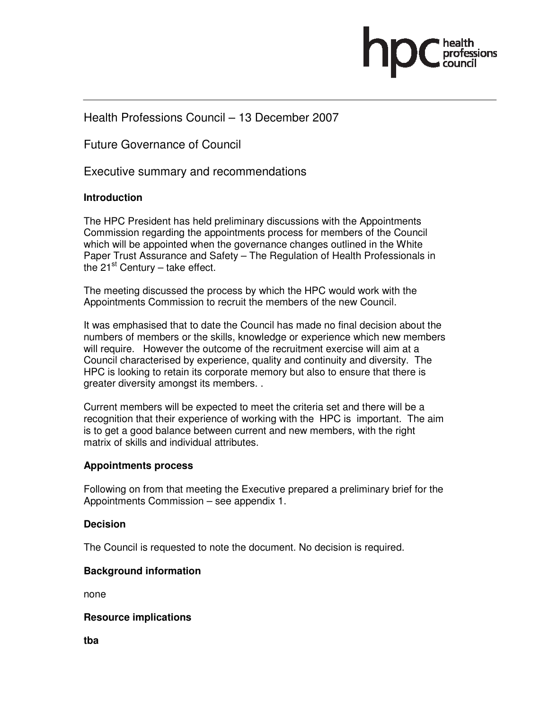

# Health Professions Council – 13 December 2007

Future Governance of Council

Executive summary and recommendations

# **Introduction**

The HPC President has held preliminary discussions with the Appointments Commission regarding the appointments process for members of the Council which will be appointed when the governance changes outlined in the White Paper Trust Assurance and Safety – The Regulation of Health Professionals in the  $21^{st}$  Century – take effect.

The meeting discussed the process by which the HPC would work with the Appointments Commission to recruit the members of the new Council.

It was emphasised that to date the Council has made no final decision about the numbers of members or the skills, knowledge or experience which new members will require. However the outcome of the recruitment exercise will aim at a Council characterised by experience, quality and continuity and diversity. The HPC is looking to retain its corporate memory but also to ensure that there is greater diversity amongst its members. .

Current members will be expected to meet the criteria set and there will be a recognition that their experience of working with the HPC is important. The aim is to get a good balance between current and new members, with the right matrix of skills and individual attributes.

# **Appointments process**

Following on from that meeting the Executive prepared a preliminary brief for the Appointments Commission – see appendix 1.

# **Decision**

The Council is requested to note the document. No decision is required.

# **Background information**

none

# **Resource implications**

**tba**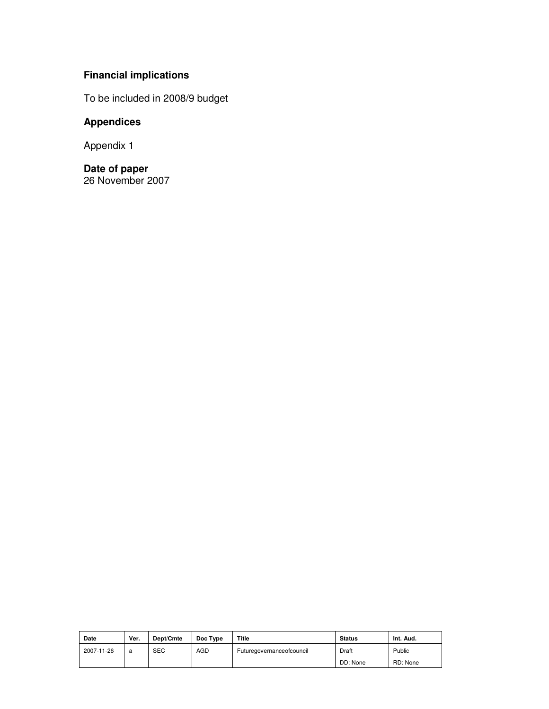# **Financial implications**

To be included in 2008/9 budget

# **Appendices**

Appendix 1

**Date of paper**  26 November 2007

| Date       | Ver. | Dept/Cmte  | Doc Type   | Title                     | <b>Status</b> | Int. Aud. |
|------------|------|------------|------------|---------------------------|---------------|-----------|
| 2007-11-26 | a    | <b>SEC</b> | <b>AGD</b> | Futuregovernanceofcouncil | Draft         | Public    |
|            |      |            |            |                           | DD: None      | RD: None  |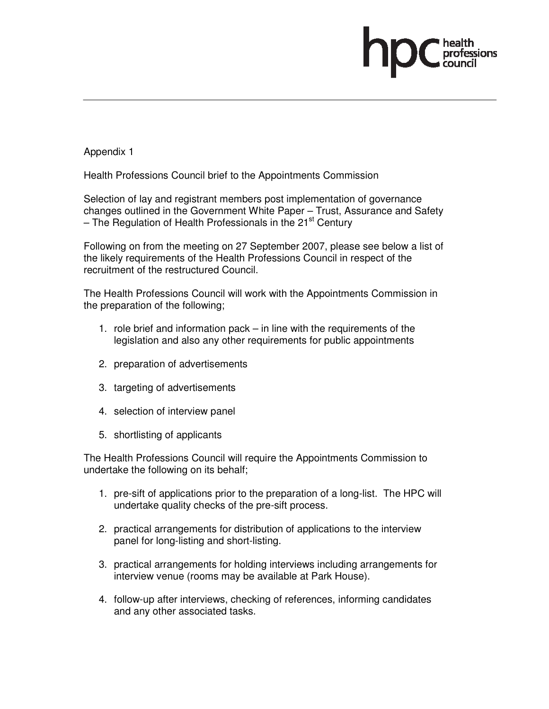Appendix 1

Health Professions Council brief to the Appointments Commission

Selection of lay and registrant members post implementation of governance changes outlined in the Government White Paper – Trust, Assurance and Safety – The Regulation of Health Professionals in the 21 $\mathrm{^{st}}$  Century

Following on from the meeting on 27 September 2007, please see below a list of the likely requirements of the Health Professions Council in respect of the recruitment of the restructured Council.

The Health Professions Council will work with the Appointments Commission in the preparation of the following;

- 1. role brief and information pack in line with the requirements of the legislation and also any other requirements for public appointments
- 2. preparation of advertisements
- 3. targeting of advertisements
- 4. selection of interview panel
- 5. shortlisting of applicants

The Health Professions Council will require the Appointments Commission to undertake the following on its behalf;

- 1. pre-sift of applications prior to the preparation of a long-list. The HPC will undertake quality checks of the pre-sift process.
- 2. practical arrangements for distribution of applications to the interview panel for long-listing and short-listing.
- 3. practical arrangements for holding interviews including arrangements for interview venue (rooms may be available at Park House).
- 4. follow-up after interviews, checking of references, informing candidates and any other associated tasks.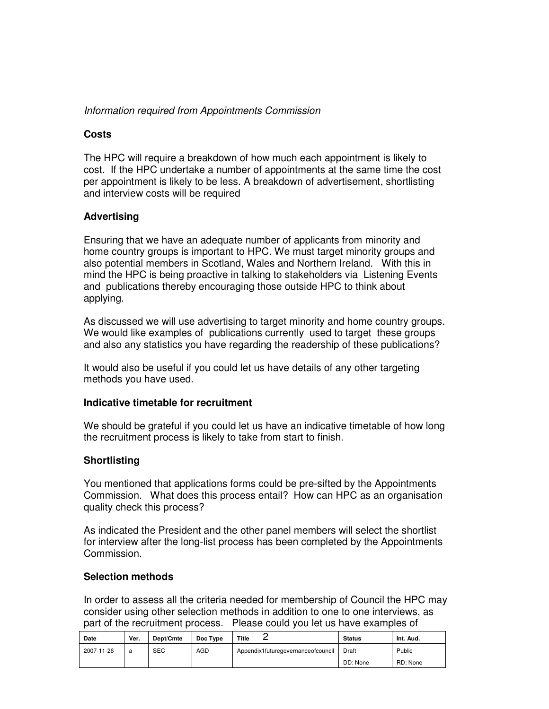# Information required from Appointments Commission

# **Costs**

The HPC will require a breakdown of how much each appointment is likely to cost. If the HPC undertake a number of appointments at the same time the cost per appointment is likely to be less. A breakdown of advertisement, shortlisting and interview costs will be required

# **Advertising**

Ensuring that we have an adequate number of applicants from minority and home country groups is important to HPC. We must target minority groups and also potential members in Scotland, Wales and Northern Ireland. With this in mind the HPC is being proactive in talking to stakeholders via Listening Events and publications thereby encouraging those outside HPC to think about applying.

As discussed we will use advertising to target minority and home country groups. We would like examples of publications currently used to target these groups and also any statistics you have regarding the readership of these publications?

It would also be useful if you could let us have details of any other targeting methods you have used.

# **Indicative timetable for recruitment**

We should be grateful if you could let us have an indicative timetable of how long the recruitment process is likely to take from start to finish.

# **Shortlisting**

You mentioned that applications forms could be pre-sifted by the Appointments Commission. What does this process entail? How can HPC as an organisation quality check this process?

As indicated the President and the other panel members will select the shortlist for interview after the long-list process has been completed by the Appointments Commission.

# **Selection methods**

In order to assess all the criteria needed for membership of Council the HPC may consider using other selection methods in addition to one to one interviews, as part of the recruitment process. Please could you let us have examples of

| Date       | Ver. | Dept/Cmte  | Doc Type   | Title<br>-                         | <b>Status</b> | Int. Aud. |
|------------|------|------------|------------|------------------------------------|---------------|-----------|
| 2007-11-26 | a    | <b>SEC</b> | <b>AGD</b> | Appendix1futuregovernanceofcouncil | Draft         | Public    |
|            |      |            |            |                                    | DD: None      | RD: None  |